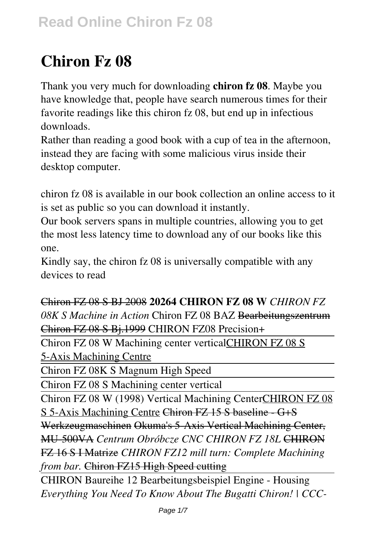# **Chiron Fz 08**

Thank you very much for downloading **chiron fz 08**. Maybe you have knowledge that, people have search numerous times for their favorite readings like this chiron fz 08, but end up in infectious downloads.

Rather than reading a good book with a cup of tea in the afternoon, instead they are facing with some malicious virus inside their desktop computer.

chiron fz 08 is available in our book collection an online access to it is set as public so you can download it instantly.

Our book servers spans in multiple countries, allowing you to get the most less latency time to download any of our books like this one.

Kindly say, the chiron fz 08 is universally compatible with any devices to read

Chiron FZ 08 S BJ 2008 **20264 CHIRON FZ 08 W** *CHIRON FZ 08K S Machine in Action* Chiron FZ 08 BAZ Bearbeitungszentrum Chiron FZ 08 S Bj.1999 CHIRON FZ08 Precision+

Chiron FZ 08 W Machining center verticalCHIRON FZ 08 S 5-Axis Machining Centre

Chiron FZ 08K S Magnum High Speed

Chiron FZ 08 S Machining center vertical

Chiron FZ 08 W (1998) Vertical Machining CenterCHIRON FZ 08 S 5-Axis Machining Centre Chiron FZ 15 S baseline - G+S Werkzeugmaschinen Okuma's 5-Axis Vertical Machining Center, MU-500VA *Centrum Obróbcze CNC CHIRON FZ 18L* CHIRON FZ 16 S I Matrize *CHIRON FZ12 mill turn: Complete Machining from bar.* Chiron FZ15 High Speed cutting

CHIRON Baureihe 12 Bearbeitungsbeispiel Engine - Housing *Everything You Need To Know About The Bugatti Chiron! | CCC-*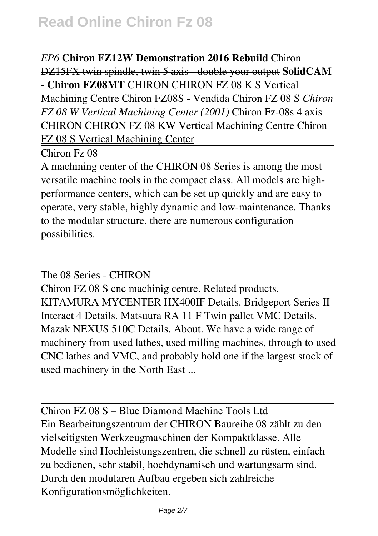*EP6* **Chiron FZ12W Demonstration 2016 Rebuild** Chiron DZ15FX twin spindle, twin 5 axis - double your output **SolidCAM - Chiron FZ08MT** CHIRON CHIRON FZ 08 K S Vertical Machining Centre Chiron FZ08S - Vendida Chiron FZ 08 S *Chiron FZ 08 W Vertical Machining Center (2001)* Chiron Fz-08s 4 axis CHIRON CHIRON FZ 08 KW Vertical Machining Centre Chiron FZ 08 S Vertical Machining Center

Chiron Fz 08

A machining center of the CHIRON 08 Series is among the most versatile machine tools in the compact class. All models are highperformance centers, which can be set up quickly and are easy to operate, very stable, highly dynamic and low-maintenance. Thanks to the modular structure, there are numerous configuration possibilities.

The 08 Series - CHIRON

Chiron FZ 08 S cnc machinig centre. Related products. KITAMURA MYCENTER HX400IF Details. Bridgeport Series II Interact 4 Details. Matsuura RA 11 F Twin pallet VMC Details. Mazak NEXUS 510C Details. About. We have a wide range of machinery from used lathes, used milling machines, through to used CNC lathes and VMC, and probably hold one if the largest stock of used machinery in the North East ...

Chiron FZ 08 S – Blue Diamond Machine Tools Ltd Ein Bearbeitungszentrum der CHIRON Baureihe 08 zählt zu den vielseitigsten Werkzeugmaschinen der Kompaktklasse. Alle Modelle sind Hochleistungszentren, die schnell zu rüsten, einfach zu bedienen, sehr stabil, hochdynamisch und wartungsarm sind. Durch den modularen Aufbau ergeben sich zahlreiche Konfigurationsmöglichkeiten.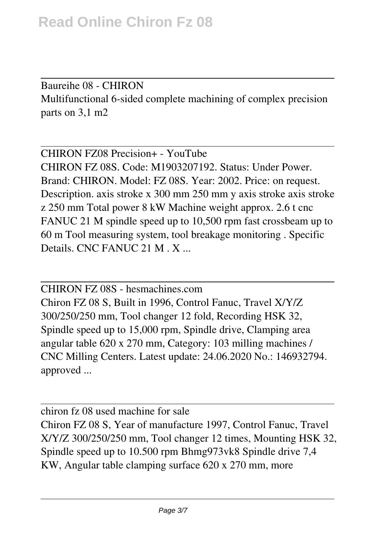Baureihe 08 - CHIRON Multifunctional 6-sided complete machining of complex precision parts on 3,1 m2

CHIRON FZ08 Precision+ - YouTube CHIRON FZ 08S. Code: M1903207192. Status: Under Power. Brand: CHIRON. Model: FZ 08S. Year: 2002. Price: on request. Description. axis stroke x 300 mm 250 mm y axis stroke axis stroke z 250 mm Total power 8 kW Machine weight approx. 2.6 t cnc FANUC 21 M spindle speed up to 10,500 rpm fast crossbeam up to 60 m Tool measuring system, tool breakage monitoring . Specific Details. CNC FANUC 21 M . X ...

CHIRON FZ 08S - hesmachines.com Chiron FZ 08 S, Built in 1996, Control Fanuc, Travel X/Y/Z 300/250/250 mm, Tool changer 12 fold, Recording HSK 32, Spindle speed up to 15,000 rpm, Spindle drive, Clamping area angular table 620 x 270 mm, Category: 103 milling machines / CNC Milling Centers. Latest update: 24.06.2020 No.: 146932794. approved ...

chiron fz 08 used machine for sale Chiron FZ 08 S, Year of manufacture 1997, Control Fanuc, Travel X/Y/Z 300/250/250 mm, Tool changer 12 times, Mounting HSK 32, Spindle speed up to 10.500 rpm Bhmg973vk8 Spindle drive 7,4 KW, Angular table clamping surface 620 x 270 mm, more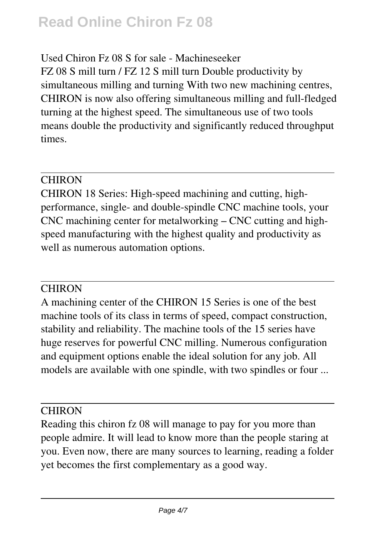# **Read Online Chiron Fz 08**

### Used Chiron Fz 08 S for sale - Machineseeker

FZ 08 S mill turn / FZ 12 S mill turn Double productivity by simultaneous milling and turning With two new machining centres, CHIRON is now also offering simultaneous milling and full-fledged turning at the highest speed. The simultaneous use of two tools means double the productivity and significantly reduced throughput times.

### **CHIRON**

CHIRON 18 Series: High-speed machining and cutting, highperformance, single- and double-spindle CNC machine tools, your CNC machining center for metalworking – CNC cutting and highspeed manufacturing with the highest quality and productivity as well as numerous automation options.

### **CHIRON**

A machining center of the CHIRON 15 Series is one of the best machine tools of its class in terms of speed, compact construction, stability and reliability. The machine tools of the 15 series have huge reserves for powerful CNC milling. Numerous configuration and equipment options enable the ideal solution for any job. All models are available with one spindle, with two spindles or four ...

#### **CHIRON**

Reading this chiron fz 08 will manage to pay for you more than people admire. It will lead to know more than the people staring at you. Even now, there are many sources to learning, reading a folder yet becomes the first complementary as a good way.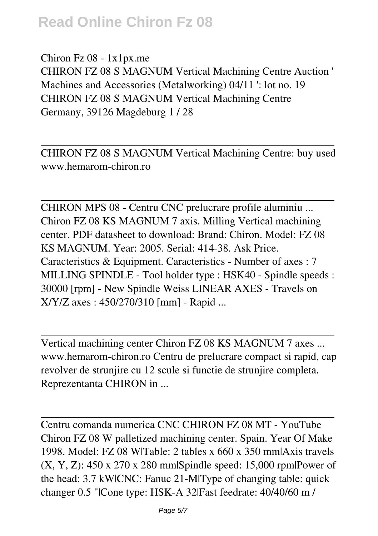## **Read Online Chiron Fz 08**

Chiron Fz 08 - 1x1px.me CHIRON FZ 08 S MAGNUM Vertical Machining Centre Auction ' Machines and Accessories (Metalworking) 04/11 ': lot no. 19 CHIRON FZ 08 S MAGNUM Vertical Machining Centre Germany, 39126 Magdeburg 1 / 28

CHIRON FZ 08 S MAGNUM Vertical Machining Centre: buy used www.hemarom-chiron.ro

CHIRON MPS 08 - Centru CNC prelucrare profile aluminiu ... Chiron FZ 08 KS MAGNUM 7 axis. Milling Vertical machining center. PDF datasheet to download: Brand: Chiron. Model: FZ 08 KS MAGNUM. Year: 2005. Serial: 414-38. Ask Price. Caracteristics & Equipment. Caracteristics - Number of axes : 7 MILLING SPINDLE - Tool holder type : HSK40 - Spindle speeds : 30000 [rpm] - New Spindle Weiss LINEAR AXES - Travels on X/Y/Z axes : 450/270/310 [mm] - Rapid ...

Vertical machining center Chiron FZ 08 KS MAGNUM 7 axes ... www.hemarom-chiron.ro Centru de prelucrare compact si rapid, cap revolver de strunjire cu 12 scule si functie de strunjire completa. Reprezentanta CHIRON in ...

Centru comanda numerica CNC CHIRON FZ 08 MT - YouTube Chiron FZ 08 W palletized machining center. Spain. Year Of Make 1998. Model: FZ 08 W|Table: 2 tables x 660 x 350 mm|Axis travels (X, Y, Z): 450 x 270 x 280 mm|Spindle speed: 15,000 rpm|Power of the head: 3.7 kW|CNC: Fanuc 21-M|Type of changing table: quick changer 0.5 "|Cone type: HSK-A 32|Fast feedrate: 40/40/60 m /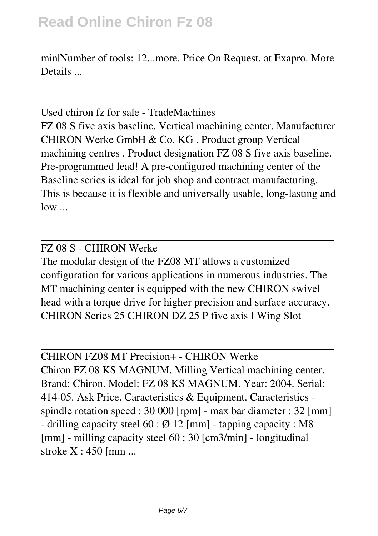min|Number of tools: 12...more. Price On Request. at Exapro. More Details ...

Used chiron fz for sale - TradeMachines FZ 08 S five axis baseline. Vertical machining center. Manufacturer CHIRON Werke GmbH & Co. KG . Product group Vertical machining centres . Product designation FZ 08 S five axis baseline. Pre-programmed lead! A pre-configured machining center of the Baseline series is ideal for job shop and contract manufacturing. This is because it is flexible and universally usable, long-lasting and low ...

#### FZ 08 S - CHIRON Werke

The modular design of the FZ08 MT allows a customized configuration for various applications in numerous industries. The MT machining center is equipped with the new CHIRON swivel head with a torque drive for higher precision and surface accuracy. CHIRON Series 25 CHIRON DZ 25 P five axis I Wing Slot

CHIRON FZ08 MT Precision+ - CHIRON Werke Chiron FZ 08 KS MAGNUM. Milling Vertical machining center.

Brand: Chiron. Model: FZ 08 KS MAGNUM. Year: 2004. Serial: 414-05. Ask Price. Caracteristics & Equipment. Caracteristics spindle rotation speed : 30 000 [rpm] - max bar diameter : 32 [mm] - drilling capacity steel  $60 : \emptyset$  12 [mm] - tapping capacity : M8 [mm] - milling capacity steel 60 : 30 [cm3/min] - longitudinal stroke X : 450 [mm ...